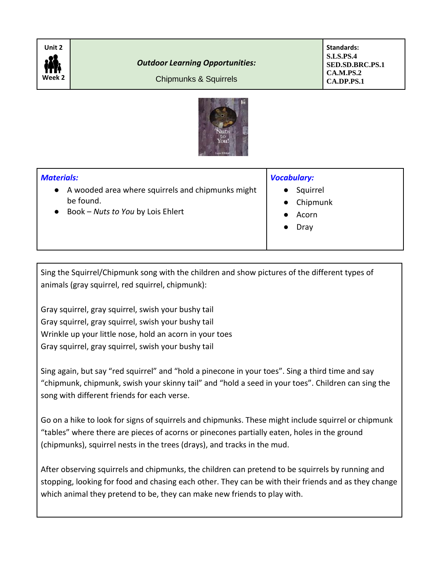

## *Outdoor Learning Opportunities:*

Chipmunks & Squirrels

**Standards: S.LS.PS.4 SED.SD.BRC.PS.1 CA.M.PS.2 CA.DP.PS.1**



## *Materials:* ● A wooded area where squirrels and chipmunks might be found. ● Book – *Nuts to You* by Lois Ehlert *Vocabulary:* ● Squirrel ● Chipmunk ● Acorn Dray

Sing the Squirrel/Chipmunk song with the children and show pictures of the different types of animals (gray squirrel, red squirrel, chipmunk):

Gray squirrel, gray squirrel, swish your bushy tail Gray squirrel, gray squirrel, swish your bushy tail Wrinkle up your little nose, hold an acorn in your toes Gray squirrel, gray squirrel, swish your bushy tail

Sing again, but say "red squirrel" and "hold a pinecone in your toes". Sing a third time and say "chipmunk, chipmunk, swish your skinny tail" and "hold a seed in your toes". Children can sing the song with different friends for each verse.

Go on a hike to look for signs of squirrels and chipmunks. These might include squirrel or chipmunk "tables" where there are pieces of acorns or pinecones partially eaten, holes in the ground (chipmunks), squirrel nests in the trees (drays), and tracks in the mud.

After observing squirrels and chipmunks, the children can pretend to be squirrels by running and stopping, looking for food and chasing each other. They can be with their friends and as they change which animal they pretend to be, they can make new friends to play with.